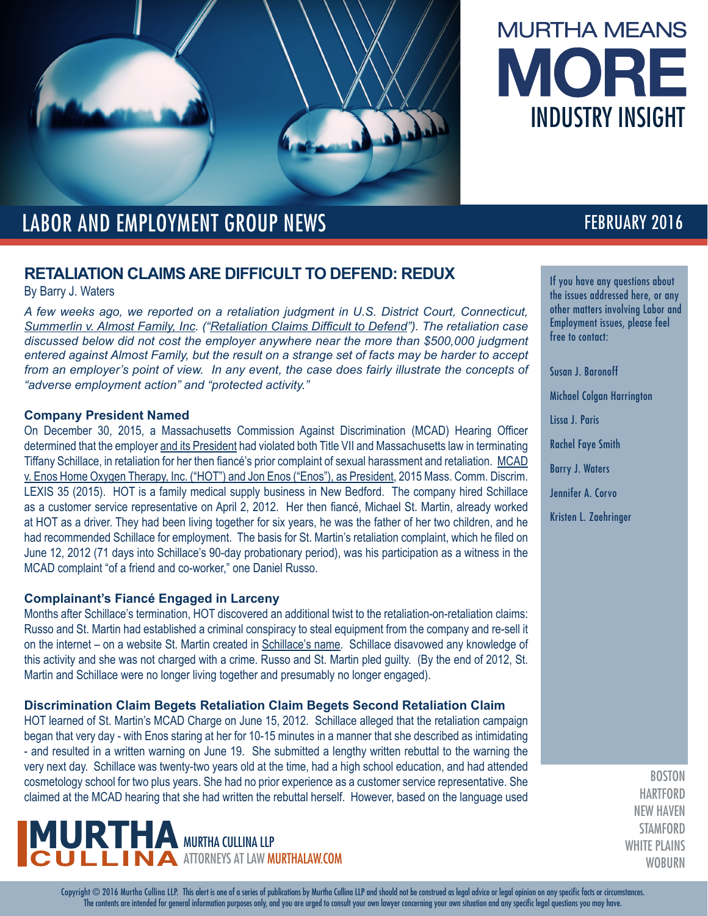



## LABOR AND EMPLOYMENT GROUP NEWS **FEBRUARY 2016**

### **RETALIATION CLAIMS ARE DIFFICULT TO DEFEND: REDUX**

By Barry J. Waters

*A few weeks ago, we reported on a retaliation judgment in U.S. District Court, Connecticut, [Summerlin v. Almost Family, Inc.](http://www.murthalaw.com/news_alerts/1715-january---labor-employment-group-news-retaliation-claims-difficult) ("[Retaliation Claims Difficult to Defend](http://www.murthalaw.com/news_alerts/1715-january---labor-employment-group-news-retaliation-claims-difficult)"). The retaliation case discussed below did not cost the employer anywhere near the more than \$500,000 judgment entered against Almost Family, but the result on a strange set of facts may be harder to accept*  from an employer's point of view. In any event, the case does fairly illustrate the concepts of *"adverse employment action" and "protected activity."*

#### **Company President Named**

On December 30, 2015, a Massachusetts Commission Against Discrimination (MCAD) Hearing Officer determined that the employer and its President had violated both Title VII and Massachusetts law in terminating Tiffany Schillace, in retaliation for her then fiancé's prior complaint of sexual harassment and retaliation. MCAD v. Enos Home Oxygen Therapy, Inc. ("HOT") and Jon Enos ("Enos"), as President, 2015 Mass. Comm. Discrim. LEXIS 35 (2015). HOT is a family medical supply business in New Bedford. The company hired Schillace as a customer service representative on April 2, 2012. Her then fiancé, Michael St. Martin, already worked at HOT as a driver. They had been living together for six years, he was the father of her two children, and he had recommended Schillace for employment. The basis for St. Martin's retaliation complaint, which he filed on June 12, 2012 (71 days into Schillace's 90-day probationary period), was his participation as a witness in the MCAD complaint "of a friend and co-worker," one Daniel Russo.

### **Complainant's Fiancé Engaged in Larceny**

Months after Schillace's termination, HOT discovered an additional twist to the retaliation-on-retaliation claims: Russo and St. Martin had established a criminal conspiracy to steal equipment from the company and re-sell it on the internet – on a website St. Martin created in Schillace's name. Schillace disavowed any knowledge of this activity and she was not charged with a crime. Russo and St. Martin pled guilty. (By the end of 2012, St. Martin and Schillace were no longer living together and presumably no longer engaged).

#### **Discrimination Claim Begets Retaliation Claim Begets Second Retaliation Claim**

HOT learned of St. Martin's MCAD Charge on June 15, 2012. Schillace alleged that the retaliation campaign began that very day - with Enos staring at her for 10-15 minutes in a manner that she described as intimidating - and resulted in a written warning on June 19. She submitted a lengthy written rebuttal to the warning the very next day. Schillace was twenty-two years old at the time, had a high school education, and had attended cosmetology school for two plus years. She had no prior experience as a customer service representative. She claimed at the MCAD hearing that she had written the rebuttal herself. However, based on the language used

# $\sf MURTHA$  murtha cullina llp **IN ATTORNEYS AT LAW MURTHALAW.COM**

If you have any questions about the issues addressed here, or any other matters involving Labor and Employment issues, please feel free to contact:

Susan J. Baronoff

Michael Colgan Harrington

Lissa J. Paris

Rachel Faye Smith

Barry J. Waters

Jennifer A. Corvo

Kristen L. Zaehringer

**BOSTON HARTFORD** NEW HAVEN **STAMFORD** WHITE PLAINS **WOBURN** 

Copyright © 2016 Murtha Cullina LLP. This alert is one of a series of publications by Murtha Cullina LLP and should not be construed as legal advice or legal opinion on any specific facts or circumstances. The contents are intended for general information purposes only, and you are urged to consult your own lawyer concerning your own situation and any specific legal questions you may have.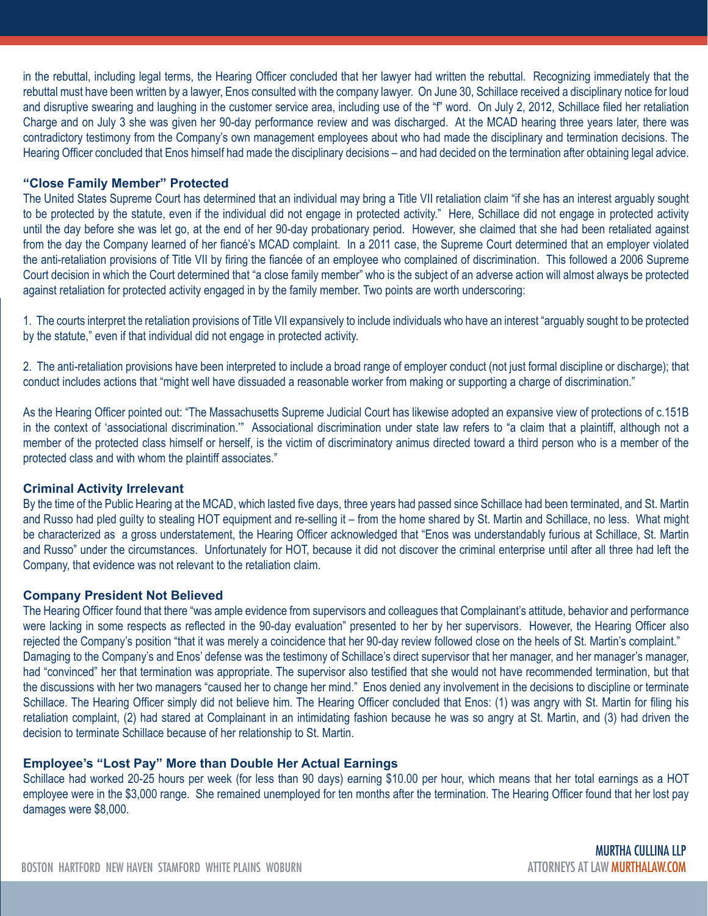in the rebuttal, including legal terms, the Hearing Officer concluded that her lawyer had written the rebuttal. Recognizing immediately that the rebuttal must have been written by a lawyer, Enos consulted with the company lawyer. On June 30, Schillace received a disciplinary notice for loud and disruptive swearing and laughing in the customer service area, including use of the "f" word. On July 2, 2012, Schillace filed her retaliation Charge and on July 3 she was given her 90-day performance review and was discharged. At the MCAD hearing three years later, there was contradictory testimony from the Company's own management employees about who had made the disciplinary and termination decisions. The Hearing Officer concluded that Enos himself had made the disciplinary decisions – and had decided on the termination after obtaining legal advice.

#### **"Close Family Member" Protected**

The United States Supreme Court has determined that an individual may bring a Title VII retaliation claim "if she has an interest arguably sought to be protected by the statute, even if the individual did not engage in protected activity." Here, Schillace did not engage in protected activity until the day before she was let go, at the end of her 90-day probationary period. However, she claimed that she had been retaliated against from the day the Company learned of her fiancé's MCAD complaint. In a 2011 case, the Supreme Court determined that an employer violated the anti-retaliation provisions of Title VII by firing the fiancée of an employee who complained of discrimination. This followed a 2006 Supreme Court decision in which the Court determined that "a close family member" who is the subject of an adverse action will almost always be protected against retaliation for protected activity engaged in by the family member. Two points are worth underscoring:

1. The courts interpret the retaliation provisions of Title VII expansively to include individuals who have an interest "arguably sought to be protected by the statute," even if that individual did not engage in protected activity.

2. The anti-retaliation provisions have been interpreted to include a broad range of employer conduct (not just formal discipline or discharge); that conduct includes actions that "might well have dissuaded a reasonable worker from making or supporting a charge of discrimination."

As the Hearing Officer pointed out: "The Massachusetts Supreme Judicial Court has likewise adopted an expansive view of protections of c.151B in the context of 'associational discrimination.'" Associational discrimination under state law refers to "a claim that a plaintiff, although not a member of the protected class himself or herself, is the victim of discriminatory animus directed toward a third person who is a member of the protected class and with whom the plaintiff associates."

#### **Criminal Activity Irrelevant**

By the time of the Public Hearing at the MCAD, which lasted five days, three years had passed since Schillace had been terminated, and St. Martin and Russo had pled guilty to stealing HOT equipment and re-selling it – from the home shared by St. Martin and Schillace, no less. What might be characterized as a gross understatement, the Hearing Officer acknowledged that "Enos was understandably furious at Schillace, St. Martin and Russo" under the circumstances. Unfortunately for HOT, because it did not discover the criminal enterprise until after all three had left the Company, that evidence was not relevant to the retaliation claim.

#### **Company President Not Believed**

The Hearing Officer found that there "was ample evidence from supervisors and colleagues that Complainant's attitude, behavior and performance were lacking in some respects as reflected in the 90-day evaluation" presented to her by her supervisors. However, the Hearing Officer also rejected the Company's position "that it was merely a coincidence that her 90-day review followed close on the heels of St. Martin's complaint." Damaging to the Company's and Enos' defense was the testimony of Schillace's direct supervisor that her manager, and her manager's manager, had "convinced" her that termination was appropriate. The supervisor also testified that she would not have recommended termination, but that the discussions with her two managers "caused her to change her mind." Enos denied any involvement in the decisions to discipline or terminate Schillace. The Hearing Officer simply did not believe him. The Hearing Officer concluded that Enos: (1) was angry with St. Martin for filing his retaliation complaint, (2) had stared at Complainant in an intimidating fashion because he was so angry at St. Martin, and (3) had driven the decision to terminate Schillace because of her relationship to St. Martin.

#### **Employee's "Lost Pay" More than Double Her Actual Earnings**

Schillace had worked 20-25 hours per week (for less than 90 days) earning \$10.00 per hour, which means that her total earnings as a HOT employee were in the \$3,000 range. She remained unemployed for ten months after the termination. The Hearing Officer found that her lost pay damages were \$8,000.